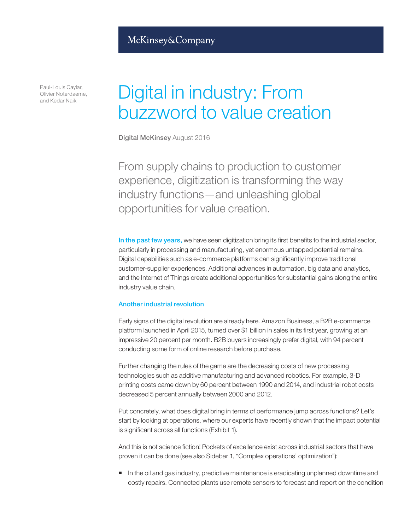### McKinsey&Company

Paul-Louis Caylar, Olivier Noterdaeme, and Kedar Naik

# Digital in industry: From buzzword to value creation

Digital McKinsey August 2016

From supply chains to production to customer experience, digitization is transforming the way industry functions—and unleashing global opportunities for value creation.

In the past few years, we have seen digitization bring its first benefits to the industrial sector, particularly in processing and manufacturing, yet enormous untapped potential remains. Digital capabilities such as e-commerce platforms can significantly improve traditional customer-supplier experiences. Additional advances in automation, big data and analytics, and the Internet of Things create additional opportunities for substantial gains along the entire industry value chain.

### Another industrial revolution

Early signs of the digital revolution are already here. Amazon Business, a B2B e-commerce platform launched in April 2015, turned over \$1 billion in sales in its first year, growing at an impressive 20 percent per month. B2B buyers increasingly prefer digital, with 94 percent conducting some form of online research before purchase.

Further changing the rules of the game are the decreasing costs of new processing technologies such as additive manufacturing and advanced robotics. For example, 3-D printing costs came down by 60 percent between 1990 and 2014, and industrial robot costs decreased 5 percent annually between 2000 and 2012.

Put concretely, what does digital bring in terms of performance jump across functions? Let's start by looking at operations, where our experts have recently shown that the impact potential is significant across all functions (Exhibit 1).

And this is not science fiction! Pockets of excellence exist across industrial sectors that have proven it can be done (see also Sidebar 1, "Complex operations' optimization"):

In the oil and gas industry, predictive maintenance is eradicating unplanned downtime and costly repairs. Connected plants use remote sensors to forecast and report on the condition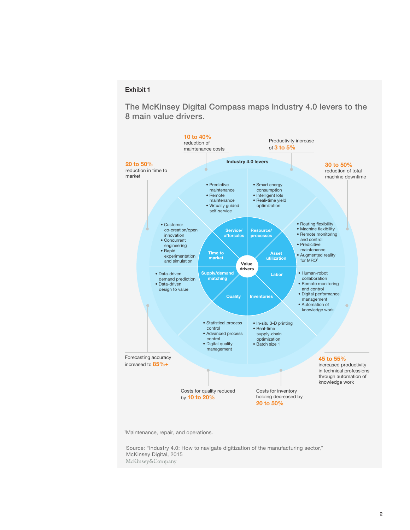#### Exhibit 1

The McKinsey Digital Compass maps Industry 4.0 levers to the 8 main value drivers.



1 Maintenance, repair, and operations.

Source: "Industry 4.0: How to navigate digitization of the manufacturing sector," McKinsey Digital, 2015 McKinsey&Company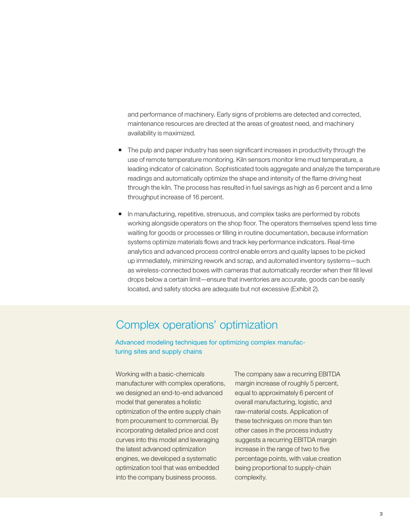and performance of machinery. Early signs of problems are detected and corrected, maintenance resources are directed at the areas of greatest need, and machinery availability is maximized.

- The pulp and paper industry has seen significant increases in productivity through the use of remote temperature monitoring. Kiln sensors monitor lime mud temperature, a leading indicator of calcination. Sophisticated tools aggregate and analyze the temperature readings and automatically optimize the shape and intensity of the flame driving heat through the kiln. The process has resulted in fuel savings as high as 6 percent and a lime throughput increase of 16 percent.
- In manufacturing, repetitive, strenuous, and complex tasks are performed by robots working alongside operators on the shop floor. The operators themselves spend less time waiting for goods or processes or filling in routine documentation, because information systems optimize materials flows and track key performance indicators. Real-time analytics and advanced process control enable errors and quality lapses to be picked up immediately, minimizing rework and scrap, and automated inventory systems—such as wireless-connected boxes with cameras that automatically reorder when their fill level drops below a certain limit—ensure that inventories are accurate, goods can be easily located, and safety stocks are adequate but not excessive (Exhibit 2).

Advanced modeling techniques for optimizing complex manufacturing sites and supply chains

Complex operations' optimization<br>Advanced modeling techniques for optimizing complex manufac-<br>turing sites and supply chains<br>
Working with a basic-chemicals<br>
The company saw a recurring EBITDA<br>
manufacturer with complex op Working with a basic-chemicals manufacturer with complex operations, we designed an end-to-end advanced model that generates a holistic optimization of the entire supply chain from procurement to commercial. By incorporating detailed price and cost curves into this model and leveraging the latest advanced optimization engines, we developed a systematic optimization tool that was embedded into the company business process.

The company saw a recurring EBITDA margin increase of roughly 5 percent, equal to approximately 6 percent of overall manufacturing, logistic, and raw-material costs. Application of these techniques on more than ten other cases in the process industry suggests a recurring EBITDA margin increase in the range of two to five percentage points, with value creation being proportional to supply-chain complexity.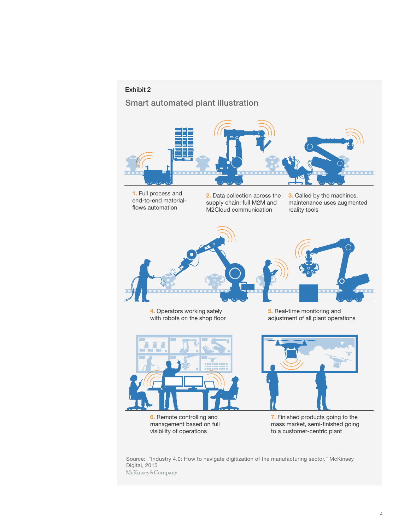### Exhibit 2

Smart automated plant illustration



1. Full process and end-to-end material flows automation

2. Data collection across the supply chain; full M2M and M2Cloud communication

3. Called by the machines, maintenance uses augmented reality tools



4. Operators working safely with robots on the shop floor

5. Real-time monitoring and adjustment of all plant operations





6. Remote controlling and management based on full visibility of operations

7. Finished products going to the mass market, semi-finished going to a customer-centric plant

Source: "Industry 4.0: How to navigate digitization of the manufacturing sector," McKinsey Digital, 2015<br>McKinsey&Company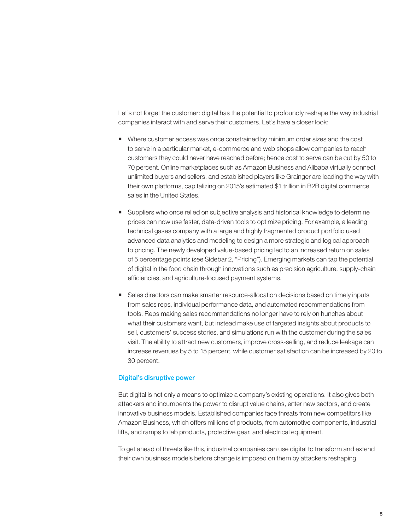Let's not forget the customer: digital has the potential to profoundly reshape the way industrial companies interact with and serve their customers. Let's have a closer look:

- Where customer access was once constrained by minimum order sizes and the cost to serve in a particular market, e-commerce and web shops allow companies to reach customers they could never have reached before; hence cost to serve can be cut by 50 to 70 percent. Online marketplaces such as Amazon Business and Alibaba virtually connect unlimited buyers and sellers, and established players like Grainger are leading the way with their own platforms, capitalizing on 2015's estimated \$1 trillion in B2B digital commerce sales in the United States.
- Suppliers who once relied on subjective analysis and historical knowledge to determine prices can now use faster, data-driven tools to optimize pricing. For example, a leading technical gases company with a large and highly fragmented product portfolio used advanced data analytics and modeling to design a more strategic and logical approach to pricing. The newly developed value-based pricing led to an increased return on sales of 5 percentage points (see Sidebar 2, "Pricing"). Emerging markets can tap the potential of digital in the food chain through innovations such as precision agriculture, supply-chain efficiencies, and agriculture-focused payment systems.
- Sales directors can make smarter resource-allocation decisions based on timely inputs from sales reps, individual performance data, and automated recommendations from tools. Reps making sales recommendations no longer have to rely on hunches about what their customers want, but instead make use of targeted insights about products to sell, customers' success stories, and simulations run with the customer during the sales visit. The ability to attract new customers, improve cross-selling, and reduce leakage can increase revenues by 5 to 15 percent, while customer satisfaction can be increased by 20 to 30 percent.

### Digital's disruptive power

But digital is not only a means to optimize a company's existing operations. It also gives both attackers and incumbents the power to disrupt value chains, enter new sectors, and create innovative business models. Established companies face threats from new competitors like Amazon Business, which offers millions of products, from automotive components, industrial lifts, and ramps to lab products, protective gear, and electrical equipment.

To get ahead of threats like this, industrial companies can use digital to transform and extend their own business models before change is imposed on them by attackers reshaping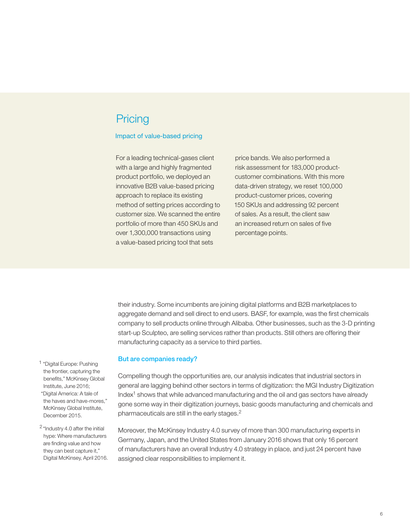## **Pricing**

#### Impact of value-based pricing

For a leading technical-gases client with a large and highly fragmented product portfolio, we deployed an innovative B2B value-based pricing approach to replace its existing method of setting prices according to customer size. We scanned the entire portfolio of more than 450 SKUs and over 1,300,000 transactions using a value-based pricing tool that sets

price bands. We also performed a risk assessment for 183,000 productcustomer combinations. With this more data-driven strategy, we reset 100,000 product-customer prices, covering 150 SKUs and addressing 92 percent of sales. As a result, the client saw an increased return on sales of five percentage points.

their industry. Some incumbents are joining digital platforms and B2B marketplaces to aggregate demand and sell direct to end users. BASF, for example, was the first chemicals company to sell products online through Alibaba. Other businesses, such as the 3-D printing start-up Sculpteo, are selling services rather than products. Still others are offering their manufacturing capacity as a service to third parties.

#### But are companies ready?

Compelling though the opportunities are, our analysis indicates that industrial sectors in general are lagging behind other sectors in terms of digitization: the MGI Industry Digitization Index<sup>1</sup> shows that while advanced manufacturing and the oil and gas sectors have already gone some way in their digitization journeys, basic goods manufacturing and chemicals and pharmaceuticals are still in the early stages.2

Moreover, the McKinsey Industry 4.0 survey of more than 300 manufacturing experts in Germany, Japan, and the United States from January 2016 shows that only 16 percent of manufacturers have an overall Industry 4.0 strategy in place, and just 24 percent have assigned clear responsibilities to implement it.

<sup>1</sup> "Digital Europe: Pushing the frontier, capturing the benefits," McKinsey Global Institute, June 2016; "Digital America: A tale of the haves and have-mores," McKinsey Global Institute, December 2015.

<sup>2</sup> "Industry 4.0 after the initial hype: Where manufacturers are finding value and how they can best capture it," Digital McKinsey, April 2016.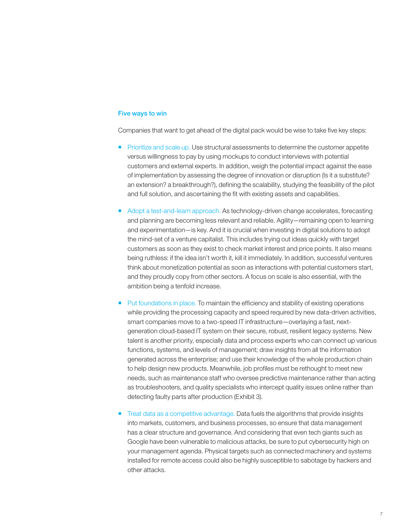### Five ways to win

Companies that want to get ahead of the digital pack would be wise to take five key steps:

- **Prioritize and scale up. Use structural assessments to determine the customer appetite** versus willingness to pay by using mockups to conduct interviews with potential customers and external experts. In addition, weigh the potential impact against the ease of implementation by assessing the degree of innovation or disruption (Is it a substitute? an extension? a breakthrough?), defining the scalability, studying the feasibility of the pilot and full solution, and ascertaining the fit with existing assets and capabilities.
- Adopt a test-and-learn approach. As technology-driven change accelerates, forecasting and planning are becoming less relevant and reliable. Agility—remaining open to learning and experimentation—is key. And it is crucial when investing in digital solutions to adopt the mind-set of a venture capitalist. This includes trying out ideas quickly with target customers as soon as they exist to check market interest and price points. It also means being ruthless: if the idea isn't worth it, kill it immediately. In addition, successful ventures think about monetization potential as soon as interactions with potential customers start, and they proudly copy from other sectors. A focus on scale is also essential, with the ambition being a tenfold increase.
- Put foundations in place. To maintain the efficiency and stability of existing operations while providing the processing capacity and speed required by new data-driven activities, smart companies move to a two-speed IT infrastructure—overlaying a fast, nextgeneration cloud-based IT system on their secure, robust, resilient legacy systems. New talent is another priority, especially data and process experts who can connect up various functions, systems, and levels of management; draw insights from all the information generated across the enterprise; and use their knowledge of the whole production chain to help design new products. Meanwhile, job profiles must be rethought to meet new needs, such as maintenance staff who oversee predictive maintenance rather than acting as troubleshooters, and quality specialists who intercept quality issues online rather than detecting faulty parts after production (Exhibit 3).
- Treat data as a competitive advantage. Data fuels the algorithms that provide insights into markets, customers, and business processes, so ensure that data management has a clear structure and governance. And considering that even tech giants such as Google have been vulnerable to malicious attacks, be sure to put cybersecurity high on your management agenda. Physical targets such as connected machinery and systems installed for remote access could also be highly susceptible to sabotage by hackers and other attacks.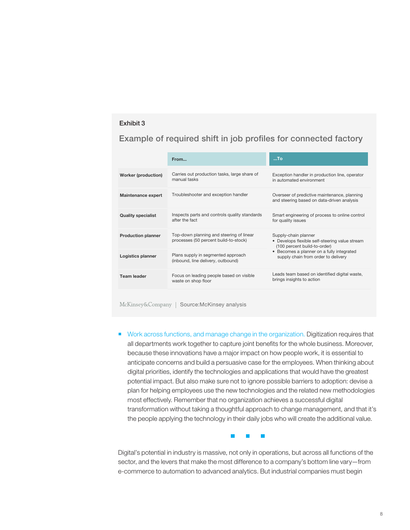### Exhibit 3

### Example of required shift in job profiles for connected factory

|                            | From                                                                              | $$ To                                                                                                                                                                                      |
|----------------------------|-----------------------------------------------------------------------------------|--------------------------------------------------------------------------------------------------------------------------------------------------------------------------------------------|
| <b>Worker (production)</b> | Carries out production tasks, large share of<br>manual tasks                      | Exception handler in production line, operator<br>in automated environment                                                                                                                 |
| <b>Maintenance expert</b>  | Troubleshooter and exception handler                                              | Overseer of predictive maintenance, planning<br>and steering based on data-driven analysis                                                                                                 |
| <b>Quality specialist</b>  | Inspects parts and controls quality standards<br>after the fact                   | Smart engineering of process to online control<br>for quality issues                                                                                                                       |
| <b>Production planner</b>  | Top-down planning and steering of linear<br>processes (50 percent build-to-stock) | Supply-chain planner<br>• Develops flexible self-steering value stream<br>(100 percent build-to-order)<br>• Becomes a planner on a fully integrated<br>supply chain from order to delivery |
| Logistics planner          | Plans supply in segmented approach<br>(inbound, line delivery, outbound)          |                                                                                                                                                                                            |
| <b>Team leader</b>         | Focus on leading people based on visible<br>waste on shop floor                   | Leads team based on identified digital waste,<br>brings insights to action                                                                                                                 |
|                            |                                                                                   |                                                                                                                                                                                            |

McKinsey&Company | Source:McKinsey analysis

**Work across functions, and manage change in the organization. Digitization requires that** all departments work together to capture joint benefits for the whole business. Moreover, because these innovations have a major impact on how people work, it is essential to anticipate concerns and build a persuasive case for the employees. When thinking about digital priorities, identify the technologies and applications that would have the greatest potential impact. But also make sure not to ignore possible barriers to adoption: devise a plan for helping employees use the new technologies and the related new methodologies most effectively. Remember that no organization achieves a successful digital transformation without taking a thoughtful approach to change management, and that it's the people applying the technology in their daily jobs who will create the additional value.



Digital's potential in industry is massive, not only in operations, but across all functions of the sector, and the levers that make the most difference to a company's bottom line vary—from e-commerce to automation to advanced analytics. But industrial companies must begin